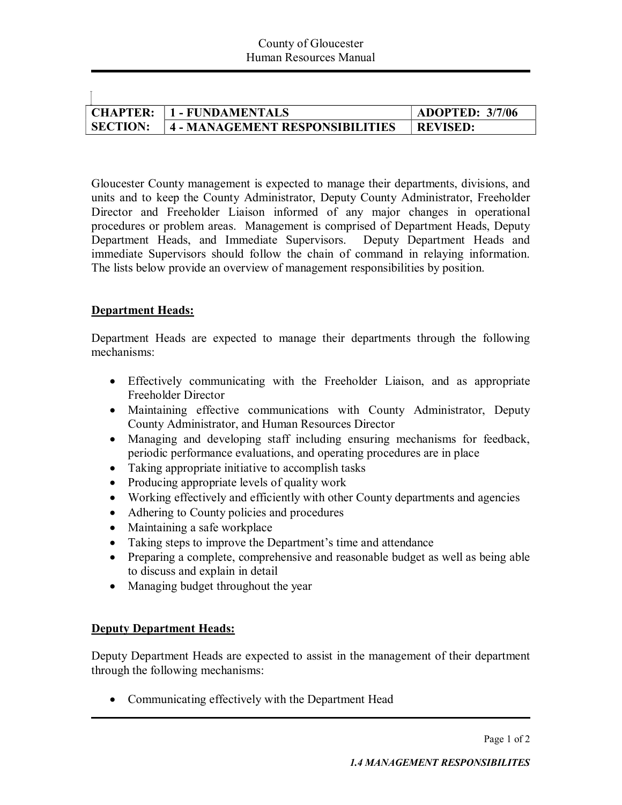| <b>CHAPTER:</b> | 1 - FUNDAMENTALS                | <b>ADOPTED: 3/7/06</b> |
|-----------------|---------------------------------|------------------------|
| <b>SECTION:</b> | 4 - MANAGEMENT RESPONSIBILITIES | <b>REVISED:</b>        |

Gloucester County management is expected to manage their departments, divisions, and units and to keep the County Administrator, Deputy County Administrator, Freeholder Director and Freeholder Liaison informed of any major changes in operational procedures or problem areas. Management is comprised of Department Heads, Deputy Department Heads, and Immediate Supervisors. Deputy Department Heads and immediate Supervisors should follow the chain of command in relaying information. The lists below provide an overview of management responsibilities by position.

## **Department Heads:**

 $\overline{1}$ 

Department Heads are expected to manage their departments through the following mechanisms:

- Effectively communicating with the Freeholder Liaison, and as appropriate Freeholder Director
- Maintaining effective communications with County Administrator, Deputy County Administrator, and Human Resources Director
- · Managing and developing staff including ensuring mechanisms for feedback, periodic performance evaluations, and operating procedures are in place
- Taking appropriate initiative to accomplish tasks
- Producing appropriate levels of quality work
- · Working effectively and efficiently with other County departments and agencies
- Adhering to County policies and procedures
- Maintaining a safe workplace
- Taking steps to improve the Department's time and attendance
- · Preparing a complete, comprehensive and reasonable budget as well as being able to discuss and explain in detail
- Managing budget throughout the year

## **Deputy Department Heads:**

Deputy Department Heads are expected to assist in the management of their department through the following mechanisms:

• Communicating effectively with the Department Head

Page 1 of 2